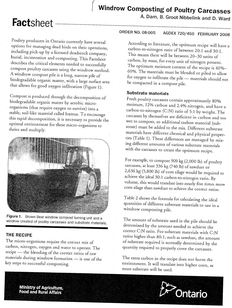A. Dam, B. Groot Nibbelink

**A. Dam, B. Groot Nibbelink and D. Ward**

Poultry producers in Ontario currently have several options for managing dead birds on their operations, including pick-up by a licensed deadstock company, burial, incineration and composting. This Factsheet describes the critical elements needed to successfully compost poultry carcasses using the windrow method. A windrow compost pile is a long, narrow pile of biodegradable organic matter, with a large surface area  $\frac{6}{2}$  $\frac{1}{2}$  and  $\frac{1}{2}$ .  $\frac{1}{2}$  and  $\frac{1}{2}$ .

Compost is produced through the decomposition of organisms (that require oxygen to survive) into a organisms (that require oxygen to survive) into a  $s_{\text{max}}$ , soil-like material called humus. To encourage this rapid decomposition, it is necessary to provide the optimal environment for these micro-organisms to thrive and multiply.



**Figure 1.** Brown Bear windrow compost turning unit and a windrow created of poultry carcasses and substrate materials.

## **THE RECIPE**

The micro-organisms require the correct mix of carbon, nitrogen, oxygen and water to operate. The recipe - the blending of the correct ratios of raw materials during windrow formation - is one of the key steps to successful composting.

According to literature, the optimum recipe will have a carbon-to-nitrogen ratio of between 20; 1 and 30: 1. This means there will be between 20-30 units of carbon, by mass, for every unit of nitrogen present. The optimum moisture content of the recipe is 40%- 60%. The materials must be blended or piled to allow for oxygen to infiltrate the pile - materials should not be compacted in a compost pile.

# **Substrate materials**

Fresh poultry carcasses contain approximately 80% moisture, 12% carbon and 2.4% nitrogen, and have a carbon-to-nitrogen (C:N) ratio of 5:1 by weight. The carcasses by themselves are deficient in carbon and too wet to compost, so additional carbon marerial (substrate) must be added to the mix. Different substrate materials have different chemical and physical properties (Table 1). These differences are managed by mixing different amounts of various substrate materials with the carcasses to create the optimum recipe.

For example, to compost 909 kg (2,000 lb) of poultry carcasses, at least 336 kg (740 lb) of sawdust or 2,636 kg (5,800 lb) of corn silage would be required to achieve the ideal 30:1 carbon-to-nitrogen ratio. By volume, this would translate into nearly five times more corn silage than sawdust to achieve the correct ratios.

Table 2 shows the formula for calculating the ideal quantities of different substrate materials to use in a windrow composting pile.

The amount of substrate used in the pile should be determined by the amounr needed to achieve the correct C:N ratio. For substrate materials with  $C:\!N$ ratios higher than 80:1, such and materials with CTN  $f$  substrate  $f$  such as sawdust, the amou of substrate required is normally determined by the<br>quantity required to properly cover the carcasses.

 $T_{\rm b}$  extra carbon in the recipe does not harm the recipe does not harm the recipe does not harm the recipe does not harm the recording of the recording of the recording of the recording of the recording of the recordi environment in the recipe does not harm the environment. It will translate into higher costs, as<br>more substrate will be used.



**Ministry of Agriculture, Food and Rural Affairs**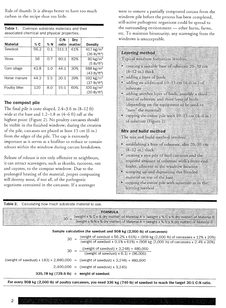Rule of thumb: It is always better to have too much carbon in the recipe than too little.

Table 1. Common substrate materials and their associated chemical and physical properties.

|                |      |     | C:N   | Drv    |                           |
|----------------|------|-----|-------|--------|---------------------------|
| Material       | % C  | %N  | ratio | matter | Density                   |
| Sawdust        | 56.2 | 0.1 | 511:1 | 61%    | 417 $kg/m3$               |
|                |      |     |       |        | $(26 \text{ lb/ft}^3)$    |
| Straw          | 56   | 0.7 | 80:1  | 82%    | $80 \text{ kg/m}^3$       |
|                |      |     |       |        | $(5$ lb/ft <sup>3</sup> ) |
| Corn silage    | 43.8 | 1.0 | 44:1  | 30%    | 688 kg/ $m3$              |
|                |      |     |       |        | (43 lb/ft <sup>3</sup> )  |
| Horse manure   | 44.3 | 1.5 | 30:1  | 39%    | 592 kg/m <sup>3</sup>     |
|                |      |     |       |        | (37 lb/ft <sup>3</sup> )  |
| Poultry litter | 120  | 8.0 | 15:1  | 60%    | 320 $kg/m3$               |
|                |      |     |       |        | $(20 \text{ lb/ft}^3)$    |

### **The compost pile**

The final pile is cone shaped, 2.4-3.6 m (8-12 ft) wide at the base and  $1.2-1.8$  m  $(4-6 \text{ ft})$  tall at the highest point (Figure 2). No poultry carcasses should be visible in the finished windrow; during the creation of the pile, carcasses are placed at least 15 em (6 in.) from the edges of the pile. The cap is extremely important as it serves as a biofilter to reduce or contain odours within the windrow during carcass breakdown.

Release of odours is not only offensive to neighbours, it can attract scavengers, such as skunks, raccoons, rats and coyotes, to the compost windrow. Due to the prolonged heating of the material, proper composting will destroy most, if not all, of the pathogenic organisms contained in the carcasses. If a scavenger

were to remove a partially composted carcass from the windrow pile before the process has been completed, still-active pathogenic organisms could be spread to the surrounding environment - other barns, farms, ete. To maintain biosecurity, any scavenging from the windrows is unacceptable.

| Layering method                                                                                                                                                   |
|-------------------------------------------------------------------------------------------------------------------------------------------------------------------|
| Typical windrow formation involves:                                                                                                                               |
| creating a suitable base of substrate 20-30 cm<br><b>B-12 millink</b><br>adding a layer of birds                                                                  |
| adding an additional 10-15 cm (4-6 in ) of<br>÷<br>an aran                                                                                                        |
| adding another layer of birds, possibly a third<br>Eyer of substrate and third layer of birds<br>(depending on the equipment to be used to<br>"tun" the material) |
| capping the entire pile with $10\cdot 15$ cm (4–6 m)<br>of silvance (Figure 2)                                                                                    |
| Mix and build method                                                                                                                                              |
| The mix and build method involves:                                                                                                                                |
| establishing a base of substrate, also 20-30 cm<br>(8-12 in.) thick                                                                                               |
| creating a mix pile of bird careases and the<br>۳<br>required amount of substrate with a front-end<br>loader, adjacent to the windrow location                    |
| scooping up and depositing this blended<br>۳<br>material on top of the base                                                                                       |
| capping the cutire pile with substrate as in the<br>lavering method                                                                                               |

Table 2. Calculating how much substrate material to use.

<u> Termini ya matu ya matu ya matu ya matu ya matu ya matu ya matu ya matu ya matu ya matu ya matu ya matu ya m</u>

|                                                                                      | <b>FORMULA</b><br>30 = (weight x % C x % dry matter) of Material A + (weight x % C x % dry matter) of Material B<br>(weight x % N x % dry matter) of Material A + (weight x % N x % dry matter) of Material B                                  |
|--------------------------------------------------------------------------------------|------------------------------------------------------------------------------------------------------------------------------------------------------------------------------------------------------------------------------------------------|
|                                                                                      | Sample calculation (for sawdust and 908 kg (2,000 lb) of carcasses)                                                                                                                                                                            |
|                                                                                      | 30 = $\frac{\text{(weight of sawdust x 56.2% x 61%)} + (908 \text{ kg } (2,000 \text{ lb}) \text{ of carcases x 12% x 20%)}}{\text{(weight of sawdust x 0.1% x 61%)} + (908 \text{ kg } (2,000 \text{ lb}) \text{ of carcases x 2.4% x 20%)}}$ |
|                                                                                      | $30 = \frac{(\text{(weight of sawdust)} \times 3,248) + 480,000}{(\text{(weight of sawdust)} \times 6.1) + (96,000)}$                                                                                                                          |
| ((weight of sawdust) x $183$ ) + 2,880,000 = ((weight of sawdust) x 3,248) + 480,000 |                                                                                                                                                                                                                                                |
|                                                                                      | $2,400,000 =$ ((weight of sawdust) x 3,245)                                                                                                                                                                                                    |
| 335.78 kg $(739.6 \text{ lb})$ = weight of sawdust                                   |                                                                                                                                                                                                                                                |
|                                                                                      | $\text{Eov}$ avery 000 kd (2.000 k) of nontry coronages you need 220 km (740 km $\sim$ $\sim$ $\sim$ $\sim$                                                                                                                                    |

336 kg (740 lb) of sawdust to reach the target 30:1 C:N ratio.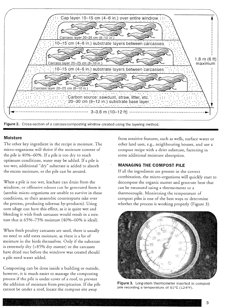

#### **Moisture**

The other key ingredient in the recipe is moisture. The micro-organisms will thrive if the moisture content of the pile is 40%-60%. If a pile is too dry to reach optimum conditions, water may be added. If a pile is too wet, additional "dry" substrate is added to absorb the excess moisture, or the pile can be aerated.

When a pile is too wet, leachate can drain from the windrow, or offensive odours can be generated from it (aerobic micro-organisms are unable to survive in these conditions, so their anaerobic counterparts take over the process, producing odorous by-products). Using corn silage can have this effect, as it is quite wet and blending it with fresh carcasses would result in a mixture that is 65%-75% moisture (40%-60% is ideal).

When fresh poultry carcasses are used, there is usually no need to add extra moisture, as there is a lot of moisture in the birds themselves. Only if the substrate is extremely dry (>85% dry matter) or the carcasses have dried out before the windrow was created should a pile need water added.

Composting can be done inside a building or outside, however, it is much easier to manage the composting process if the pile is under cover of a roof, to prevent the addition of moisture from precipitation. If the pile cannot be under a roof, locate the compost site away

from sensitive features, such as wells, surface water or other land uses, e.g., neighbouring houses, and use a compost recipe with a drier substtate, factoring in some additional moisture absorption.

#### **MANAGING THE COMPOST PILE**

If all the ingredients are present in the correct combination, the micro-organisms will quickly start to decompose the organic matter and generate heat that can be measured using a thermometer or a thermocouple. Monitoring the temperature of compost piles is one of the best ways to determine whether the process is working properly (Figure 3).



Figure 3. Long-stem thermometer inserted in compost pile recording a temperature of 51°C (124°F).